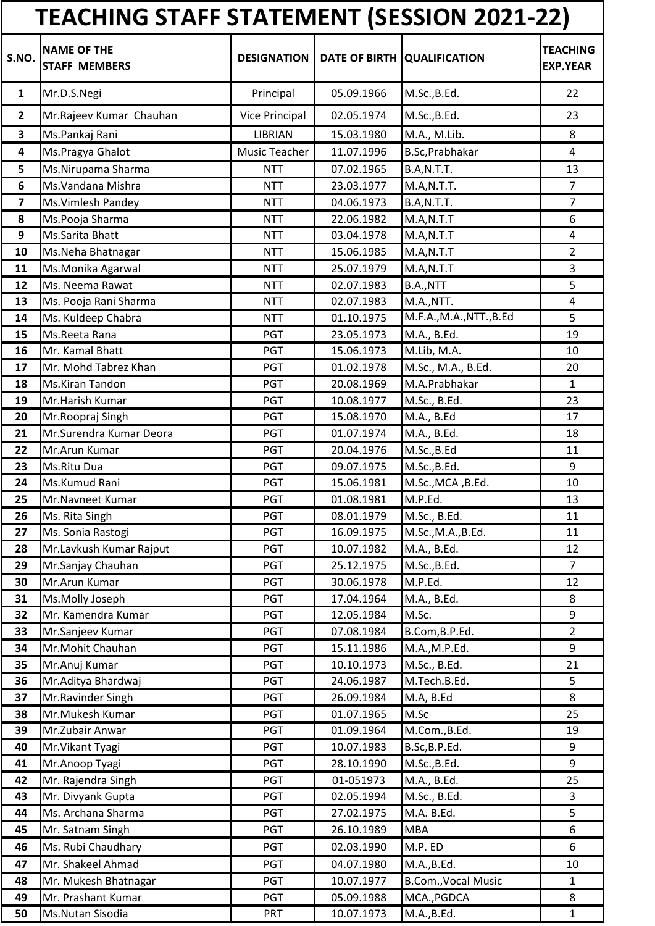|                         | <b>TEACHING STAFF STATEMENT (SESSION 2021-22)</b> |                    |            |                             |                                    |
|-------------------------|---------------------------------------------------|--------------------|------------|-----------------------------|------------------------------------|
| S.NO.                   | <b>NAME OF THE</b><br><b>STAFF MEMBERS</b>        | <b>DESIGNATION</b> |            | DATE OF BIRTH QUALIFICATION | <b>TEACHING</b><br><b>EXP.YEAR</b> |
| $\mathbf{1}$            | Mr.D.S.Negi                                       | Principal          | 05.09.1966 | M.Sc., B.Ed.                | 22                                 |
| $\overline{2}$          | Mr.Rajeev Kumar Chauhan                           | Vice Principal     | 02.05.1974 | M.Sc., B.Ed.                | 23                                 |
| 3                       | Ms.Pankaj Rani                                    | <b>LIBRIAN</b>     | 15.03.1980 | M.A., M.Lib.                | 8                                  |
| 4                       | Ms.Pragya Ghalot                                  | Music Teacher      | 11.07.1996 | B.Sc, Prabhakar             | 4                                  |
| 5                       | Ms.Nirupama Sharma                                | <b>NTT</b>         | 07.02.1965 | B.A,N.T.T.                  | 13                                 |
| 6                       | Ms. Vandana Mishra                                | <b>NTT</b>         | 23.03.1977 | M.A,N.T.T.                  | 7                                  |
| $\overline{\mathbf{z}}$ | Ms. Vimlesh Pandey                                | <b>NTT</b>         | 04.06.1973 | B.A,N.T.T.                  | $\overline{7}$                     |
| 8                       | Ms.Pooja Sharma                                   | <b>NTT</b>         | 22.06.1982 | M.A,N.T.T                   | 6                                  |
| 9                       | Ms.Sarita Bhatt                                   | <b>NTT</b>         | 03.04.1978 | M.A,N.T.T                   | $\overline{4}$                     |
| 10                      | Ms.Neha Bhatnagar                                 | <b>NTT</b>         | 15.06.1985 | M.A, N.T.T                  | $\overline{2}$                     |
| 11                      | Ms.Monika Agarwal                                 | <b>NTT</b>         | 25.07.1979 | M.A,N.T.T                   | 3                                  |
| 12                      | Ms. Neema Rawat                                   | <b>NTT</b>         | 02.07.1983 | B.A.,NTT                    | 5                                  |
| 13                      | Ms. Pooja Rani Sharma                             | <b>NTT</b>         | 02.07.1983 | M.A., NTT.                  | $\overline{4}$                     |
| 14                      | Ms. Kuldeep Chabra                                | <b>NTT</b>         | 01.10.1975 | M.F.A.,M.A.,NTT.,B.Ed       | 5                                  |
| 15                      | Ms.Reeta Rana                                     | PGT                | 23.05.1973 | M.A., B.Ed.                 | 19                                 |
| 16                      | Mr. Kamal Bhatt                                   | PGT                | 15.06.1973 | M.Lib, M.A.                 | 10                                 |
| 17                      | Mr. Mohd Tabrez Khan                              | <b>PGT</b>         | 01.02.1978 | M.Sc., M.A., B.Ed.          | 20                                 |
| 18                      | Ms.Kiran Tandon                                   | <b>PGT</b>         | 20.08.1969 | M.A.Prabhakar               | $\mathbf{1}$                       |
| 19                      | Mr.Harish Kumar                                   | PGT                | 10.08.1977 | M.Sc., B.Ed.                | 23                                 |
| 20                      | Mr.Roopraj Singh                                  | <b>PGT</b>         | 15.08.1970 | M.A., B.Ed                  | 17                                 |
| 21                      | Mr.Surendra Kumar Deora                           | <b>PGT</b>         | 01.07.1974 | M.A., B.Ed.                 | 18                                 |
| 22                      | Mr.Arun Kumar                                     | <b>PGT</b>         | 20.04.1976 | M.Sc., B.Ed                 | 11                                 |
| 23                      | Ms.Ritu Dua                                       | PGT                | 09.07.1975 | M.Sc., B.Ed.                | 9                                  |
| 24                      | Ms.Kumud Rani                                     | PGT                | 15.06.1981 | M.Sc., MCA, B.Ed.           | 10                                 |
| 25                      | Mr.Navneet Kumar                                  | PGT                | 01.08.1981 | M.P.Ed.                     | 13                                 |
| 26                      | Ms. Rita Singh                                    | <b>PGT</b>         | 08.01.1979 | M.Sc., B.Ed.                | 11                                 |
| 27                      | Ms. Sonia Rastogi                                 | PGT                | 16.09.1975 | M.Sc., M.A., B.Ed.          | 11                                 |
| 28                      | Mr.Lavkush Kumar Rajput                           | PGT                | 10.07.1982 | M.A., B.Ed.                 | 12                                 |
| 29                      | Mr.Sanjay Chauhan                                 | PGT                | 25.12.1975 | M.Sc., B.Ed.                | $\overline{7}$                     |
| 30                      | Mr.Arun Kumar                                     | PGT                | 30.06.1978 | M.P.Ed.                     | 12                                 |
| 31                      | Ms.Molly Joseph                                   | <b>PGT</b>         | 17.04.1964 | M.A., B.Ed.                 | 8                                  |
| 32                      | Mr. Kamendra Kumar                                | PGT                | 12.05.1984 | M.Sc.                       | 9                                  |
| 33                      | Mr.Sanjeev Kumar                                  | PGT                | 07.08.1984 | B.Com, B.P.Ed.              | $\overline{2}$                     |
| 34                      | Mr.Mohit Chauhan                                  | PGT                | 15.11.1986 | M.A., M.P.Ed.               | 9                                  |
| 35                      | Mr.Anuj Kumar                                     | PGT                | 10.10.1973 | M.Sc., B.Ed.                | 21                                 |
| 36                      | Mr.Aditya Bhardwaj                                | PGT                | 24.06.1987 | M.Tech.B.Ed.                | 5                                  |
| 37                      | Mr.Ravinder Singh                                 | PGT                | 26.09.1984 | M.A, B.Ed                   | 8                                  |
| 38                      | Mr.Mukesh Kumar                                   | PGT                | 01.07.1965 | M.Sc                        | 25                                 |
| 39                      | Mr.Zubair Anwar                                   | <b>PGT</b>         | 01.09.1964 | M.Com., B.Ed.               | 19                                 |
| 40                      | Mr. Vikant Tyagi                                  | PGT                | 10.07.1983 | B.Sc, B.P.Ed.               | 9                                  |
| 41                      | Mr.Anoop Tyagi                                    | PGT                | 28.10.1990 | M.Sc., B.Ed.                | 9                                  |
| 42                      | Mr. Rajendra Singh                                | PGT                | 01-051973  | M.A., B.Ed.                 | 25                                 |
| 43                      | Mr. Divyank Gupta                                 | PGT                | 02.05.1994 | M.Sc., B.Ed.                | 3                                  |
| 44                      | Ms. Archana Sharma                                | PGT                | 27.02.1975 | M.A. B.Ed.                  | 5                                  |
| 45                      | Mr. Satnam Singh                                  | PGT                | 26.10.1989 | <b>MBA</b>                  | 6                                  |
| 46                      | Ms. Rubi Chaudhary                                | PGT                | 02.03.1990 | M.P. ED                     | 6                                  |
| 47                      | Mr. Shakeel Ahmad                                 | PGT                | 04.07.1980 | M.A., B.Ed.                 | 10                                 |
| 48                      | Mr. Mukesh Bhatnagar                              | PGT                | 10.07.1977 | <b>B.Com., Vocal Music</b>  | $\mathbf{1}$                       |
| 49                      | Mr. Prashant Kumar                                | PGT                | 05.09.1988 | MCA., PGDCA                 | 8                                  |
| 50                      | Ms.Nutan Sisodia                                  | <b>PRT</b>         | 10.07.1973 | M.A., B.Ed.                 | $\mathbf{1}$                       |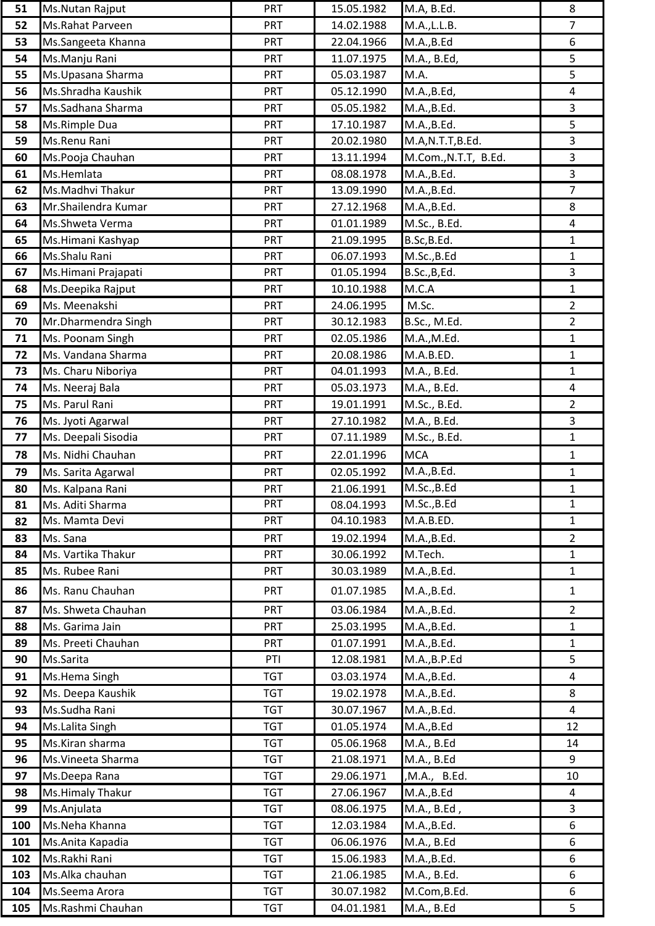| 51  | Ms.Nutan Rajput     | PRT        | 15.05.1982 | M.A, B.Ed.           | 8              |
|-----|---------------------|------------|------------|----------------------|----------------|
| 52  | Ms.Rahat Parveen    | <b>PRT</b> | 14.02.1988 | M.A., L.L.B.         | $\overline{7}$ |
| 53  | Ms.Sangeeta Khanna  | <b>PRT</b> | 22.04.1966 | M.A., B.Ed           | 6              |
| 54  | Ms.Manju Rani       | <b>PRT</b> | 11.07.1975 | M.A., B.Ed,          | 5              |
| 55  | Ms. Upasana Sharma  | <b>PRT</b> | 05.03.1987 | M.A.                 | 5              |
| 56  | Ms.Shradha Kaushik  | <b>PRT</b> | 05.12.1990 | M.A., B.Ed,          | 4              |
| 57  | Ms.Sadhana Sharma   | <b>PRT</b> | 05.05.1982 | M.A., B.Ed.          | $\overline{3}$ |
| 58  | Ms.Rimple Dua       | <b>PRT</b> | 17.10.1987 | M.A., B.Ed.          | 5              |
| 59  | Ms.Renu Rani        | <b>PRT</b> | 20.02.1980 | M.A,N.T.T,B.Ed.      | $\overline{3}$ |
| 60  | Ms.Pooja Chauhan    | <b>PRT</b> | 13.11.1994 | M.Com., N.T.T, B.Ed. | $\mathbf{3}$   |
| 61  | Ms.Hemlata          | <b>PRT</b> | 08.08.1978 | M.A., B.Ed.          | $\overline{3}$ |
| 62  | Ms.Madhvi Thakur    | <b>PRT</b> | 13.09.1990 | M.A., B.Ed.          | $\overline{7}$ |
| 63  | Mr.Shailendra Kumar | <b>PRT</b> | 27.12.1968 | M.A., B.Ed.          | 8              |
| 64  | Ms.Shweta Verma     | <b>PRT</b> | 01.01.1989 | M.Sc., B.Ed.         | 4              |
| 65  | Ms.Himani Kashyap   | <b>PRT</b> | 21.09.1995 | B.Sc, B.Ed.          | $\mathbf{1}$   |
| 66  | Ms.Shalu Rani       | <b>PRT</b> | 06.07.1993 | M.Sc., B.Ed          | $\mathbf{1}$   |
| 67  | Ms.Himani Prajapati | <b>PRT</b> | 01.05.1994 | B.Sc., B, Ed.        | $\overline{3}$ |
| 68  | Ms.Deepika Rajput   | <b>PRT</b> | 10.10.1988 | M.C.A                | $\mathbf{1}$   |
| 69  | Ms. Meenakshi       | <b>PRT</b> | 24.06.1995 | M.Sc.                | $\overline{2}$ |
| 70  | Mr.Dharmendra Singh | PRT        | 30.12.1983 | B.Sc., M.Ed.         | $\overline{2}$ |
| 71  | Ms. Poonam Singh    | <b>PRT</b> | 02.05.1986 | M.A., M.Ed.          | $\mathbf{1}$   |
| 72  | Ms. Vandana Sharma  | <b>PRT</b> | 20.08.1986 | M.A.B.ED.            | $\mathbf{1}$   |
| 73  | Ms. Charu Niboriya  | <b>PRT</b> | 04.01.1993 | M.A., B.Ed.          | $\mathbf{1}$   |
| 74  | Ms. Neeraj Bala     | PRT        | 05.03.1973 | M.A., B.Ed.          | 4              |
| 75  | Ms. Parul Rani      | <b>PRT</b> | 19.01.1991 | M.Sc., B.Ed.         | $\overline{2}$ |
| 76  | Ms. Jyoti Agarwal   | <b>PRT</b> | 27.10.1982 | M.A., B.Ed.          | $\mathbf{3}$   |
| 77  | Ms. Deepali Sisodia | <b>PRT</b> | 07.11.1989 | M.Sc., B.Ed.         | $\mathbf{1}$   |
| 78  | Ms. Nidhi Chauhan   | <b>PRT</b> | 22.01.1996 | <b>MCA</b>           | $\mathbf{1}$   |
| 79  | Ms. Sarita Agarwal  | <b>PRT</b> | 02.05.1992 | M.A., B.Ed.          | $\mathbf{1}$   |
| 80  | Ms. Kalpana Rani    | <b>PRT</b> | 21.06.1991 | M.Sc., B.Ed          | $\mathbf{1}$   |
| 81  | Ms. Aditi Sharma    | PRT        | 08.04.1993 | M.Sc., B.Ed          | $\mathbf{1}$   |
| 82  | Ms. Mamta Devi      | <b>PRT</b> | 04.10.1983 | M.A.B.ED.            | $\mathbf{1}$   |
| 83  | Ms. Sana            | <b>PRT</b> | 19.02.1994 | M.A., B.Ed.          | $\overline{2}$ |
| 84  | Ms. Vartika Thakur  | <b>PRT</b> | 30.06.1992 | M.Tech.              | $\mathbf{1}$   |
| 85  | Ms. Rubee Rani      | <b>PRT</b> | 30.03.1989 | M.A., B.Ed.          | $\mathbf{1}$   |
| 86  | Ms. Ranu Chauhan    | <b>PRT</b> | 01.07.1985 | M.A., B.Ed.          | $\mathbf{1}$   |
| 87  | Ms. Shweta Chauhan  | <b>PRT</b> | 03.06.1984 | M.A., B.Ed.          | $\overline{2}$ |
| 88  | Ms. Garima Jain     | <b>PRT</b> | 25.03.1995 | M.A., B.Ed.          | $\mathbf{1}$   |
| 89  | Ms. Preeti Chauhan  | <b>PRT</b> | 01.07.1991 | M.A., B.Ed.          | $\mathbf{1}$   |
| 90  | Ms.Sarita           | PTI        | 12.08.1981 | M.A., B.P.Ed         | 5              |
| 91  | Ms.Hema Singh       | <b>TGT</b> | 03.03.1974 | M.A., B.Ed.          | $\overline{4}$ |
| 92  | Ms. Deepa Kaushik   | <b>TGT</b> | 19.02.1978 | M.A., B.Ed.          | 8              |
| 93  | Ms.Sudha Rani       | <b>TGT</b> | 30.07.1967 | M.A., B.Ed.          | $\overline{4}$ |
| 94  | Ms.Lalita Singh     | <b>TGT</b> | 01.05.1974 | M.A., B.Ed           | 12             |
| 95  | Ms.Kiran sharma     | <b>TGT</b> | 05.06.1968 | M.A., B.Ed           | 14             |
| 96  | Ms. Vineeta Sharma  | <b>TGT</b> | 21.08.1971 | M.A., B.Ed           | 9              |
| 97  | Ms.Deepa Rana       | <b>TGT</b> | 29.06.1971 | ,M.A., B.Ed.         | 10             |
| 98  | Ms.Himaly Thakur    | <b>TGT</b> | 27.06.1967 | M.A., B.Ed           | $\overline{4}$ |
| 99  | Ms.Anjulata         | <b>TGT</b> | 08.06.1975 | M.A., B.Ed,          | $\mathsf{3}$   |
| 100 | Ms.Neha Khanna      | <b>TGT</b> | 12.03.1984 | M.A., B.Ed.          | 6              |
| 101 | Ms.Anita Kapadia    | <b>TGT</b> | 06.06.1976 | M.A., B.Ed           | 6              |
| 102 | Ms.Rakhi Rani       | <b>TGT</b> | 15.06.1983 | M.A., B.Ed.          | 6              |
| 103 | Ms.Alka chauhan     | <b>TGT</b> | 21.06.1985 | M.A., B.Ed.          | 6              |
| 104 | Ms.Seema Arora      | <b>TGT</b> | 30.07.1982 | M.Com, B.Ed.         | 6              |
| 105 | Ms.Rashmi Chauhan   | <b>TGT</b> | 04.01.1981 | M.A., B.Ed           | 5              |